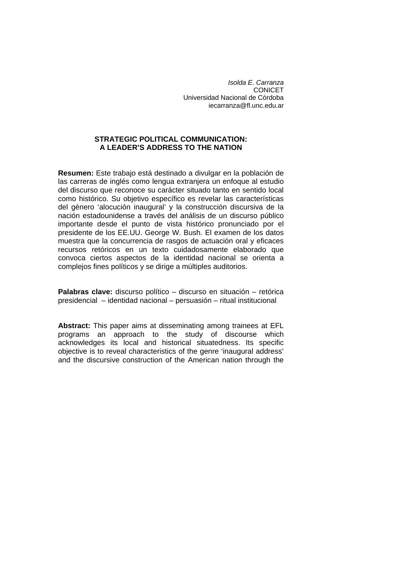*Isolda E. Carranza*  **CONICET** Universidad Nacional de Córdoba [iecarranza@fl.unc.edu.ar](mailto:iecarranza@fl.unc.edu.ar)

## **STRATEGIC POLITICAL COMMUNICATION: A LEADER'S ADDRESS TO THE NATION**

**Resumen:** Este trabajo está destinado a divulgar en la población de las carreras de inglés como lengua extranjera un enfoque al estudio del discurso que reconoce su carácter situado tanto en sentido local como histórico. Su objetivo específico es revelar las características del género 'alocución inaugural' y la construcción discursiva de la nación estadounidense a través del análisis de un discurso público importante desde el punto de vista histórico pronunciado por el presidente de los EE.UU. George W. Bush. El examen de los datos muestra que la concurrencia de rasgos de actuación oral y eficaces recursos retóricos en un texto cuidadosamente elaborado que convoca ciertos aspectos de la identidad nacional se orienta a complejos fines políticos y se dirige a múltiples auditorios.

**Palabras clave:** discurso político – discurso en situación – retórica presidencial – identidad nacional – persuasión – ritual institucional

**Abstract:** This paper aims at disseminating among trainees at EFL programs an approach to the study of discourse which acknowledges its local and historical situatedness. Its specific objective is to reveal characteristics of the genre 'inaugural address' and the discursive construction of the American nation through the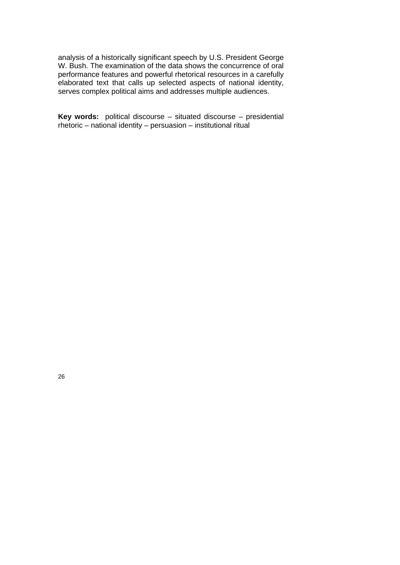analysis of a historically significant speech by U.S. President George W. Bush. The examination of the data shows the concurrence of oral performance features and powerful rhetorical resources in a carefully elaborated text that calls up selected aspects of national identity, serves complex political aims and addresses multiple audiences.

**Key words:** political discourse – situated discourse – presidential rhetoric – national identity – persuasion – institutional ritual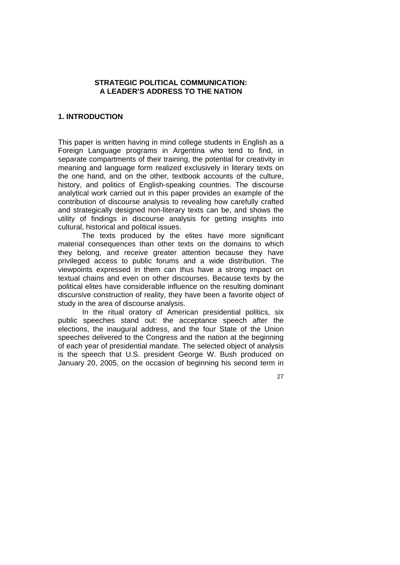### **STRATEGIC POLITICAL COMMUNICATION: A LEADER'S ADDRESS TO THE NATION**

## **1. INTRODUCTION**

This paper is written having in mind college students in English as a Foreign Language programs in Argentina who tend to find, in separate compartments of their training, the potential for creativity in meaning and language form realized exclusively in literary texts on the one hand, and on the other, textbook accounts of the culture, history, and politics of English-speaking countries. The discourse analytical work carried out in this paper provides an example of the contribution of discourse analysis to revealing how carefully crafted and strategically designed non-literary texts can be, and shows the utility of findings in discourse analysis for getting insights into cultural, historical and political issues.

The texts produced by the elites have more significant material consequences than other texts on the domains to which they belong, and receive greater attention because they have privileged access to public forums and a wide distribution. The viewpoints expressed in them can thus have a strong impact on textual chains and even on other discourses. Because texts by the political elites have considerable influence on the resulting dominant discursive construction of reality, they have been a favorite object of study in the area of discourse analysis.

In the ritual oratory of American presidential politics, six public speeches stand out: the acceptance speech after the elections, the inaugural address, and the four State of the Union speeches delivered to the Congress and the nation at the beginning of each year of presidential mandate. The selected object of analysis is the speech that U.S. president George W. Bush produced on January 20, 2005, on the occasion of beginning his second term in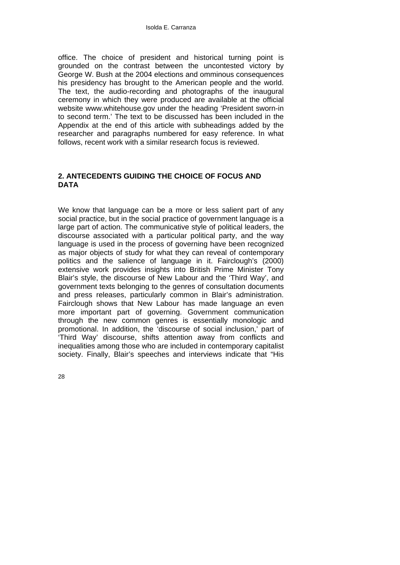office. The choice of president and historical turning point is grounded on the contrast between the uncontested victory by George W. Bush at the 2004 elections and omminous consequences his presidency has brought to the American people and the world. The text, the audio-recording and photographs of the inaugural ceremony in which they were produced are available at the official website www.whitehouse.gov under the heading 'President sworn-in to second term.' The text to be discussed has been included in the Appendix at the end of this article with subheadings added by the researcher and paragraphs numbered for easy reference. In what follows, recent work with a similar research focus is reviewed.

# **2. ANTECEDENTS GUIDING THE CHOICE OF FOCUS AND DATA**

We know that language can be a more or less salient part of any social practice, but in the social practice of government language is a large part of action. The communicative style of political leaders, the discourse associated with a particular political party, and the way language is used in the process of governing have been recognized as major objects of study for what they can reveal of contemporary politics and the salience of language in it. Fairclough's (2000) extensive work provides insights into British Prime Minister Tony Blair's style, the discourse of New Labour and the 'Third Way', and government texts belonging to the genres of consultation documents and press releases, particularly common in Blair's administration. Fairclough shows that New Labour has made language an even more important part of governing. Government communication through the new common genres is essentially monologic and promotional. In addition, the 'discourse of social inclusion,' part of 'Third Way' discourse, shifts attention away from conflicts and inequalities among those who are included in contemporary capitalist society. Finally, Blair's speeches and interviews indicate that "His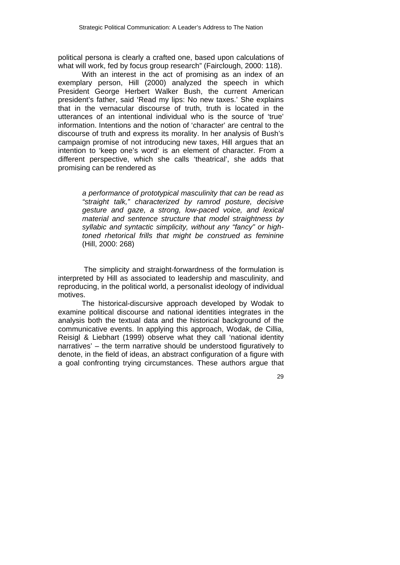political persona is clearly a crafted one, based upon calculations of what will work, fed by focus group research" (Fairclough, 2000: 118).

With an interest in the act of promising as an index of an exemplary person, Hill (2000) analyzed the speech in which President George Herbert Walker Bush, the current American president's father, said 'Read my lips: No new taxes.' She explains that in the vernacular discourse of truth, truth is located in the utterances of an intentional individual who is the source of 'true' information. Intentions and the notion of 'character' are central to the discourse of truth and express its morality. In her analysis of Bush's campaign promise of not introducing new taxes, Hill argues that an intention to 'keep one's word' is an element of character. From a different perspective, which she calls 'theatrical', she adds that promising can be rendered as

> *a performance of prototypical masculinity that can be read as "straight talk," characterized by ramrod posture, decisive gesture and gaze, a strong, low-paced voice, and lexical material and sentence structure that model straightness by syllabic and syntactic simplicity, without any "fancy" or hightoned rhetorical frills that might be construed as feminine*  (Hill, 2000: 268)

 The simplicity and straight-forwardness of the formulation is interpreted by Hill as associated to leadership and masculinity, and reproducing, in the political world, a personalist ideology of individual motives.

The historical-discursive approach developed by Wodak to examine political discourse and national identities integrates in the analysis both the textual data and the historical background of the communicative events. In applying this approach, Wodak, de Cillia, Reisigl & Liebhart (1999) observe what they call 'national identity narratives' – the term narrative should be understood figuratively to denote, in the field of ideas, an abstract configuration of a figure with a goal confronting trying circumstances. These authors argue that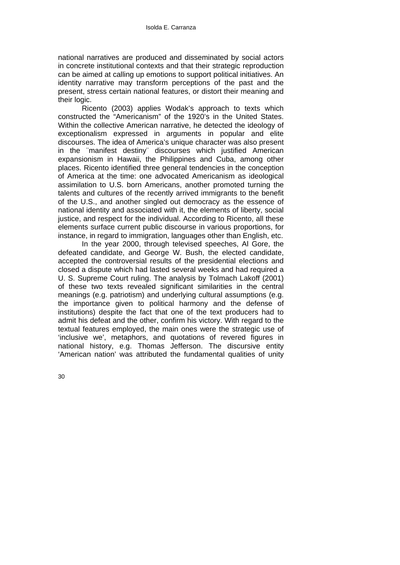national narratives are produced and disseminated by social actors in concrete institutional contexts and that their strategic reproduction can be aimed at calling up emotions to support political initiatives. An identity narrative may transform perceptions of the past and the present, stress certain national features, or distort their meaning and their logic.

Ricento (2003) applies Wodak's approach to texts which constructed the "Americanism" of the 1920's in the United States. Within the collective American narrative, he detected the ideology of exceptionalism expressed in arguments in popular and elite discourses. The idea of America's unique character was also present in the ¨manifest destiny¨ discourses which justified American expansionism in Hawaii, the Philippines and Cuba, among other places. Ricento identified three general tendencies in the conception of America at the time: one advocated Americanism as ideological assimilation to U.S. born Americans, another promoted turning the talents and cultures of the recently arrived immigrants to the benefit of the U.S., and another singled out democracy as the essence of national identity and associated with it, the elements of liberty, social justice, and respect for the individual. According to Ricento, all these elements surface current public discourse in various proportions, for instance, in regard to immigration, languages other than English, etc.

In the year 2000, through televised speeches, Al Gore, the defeated candidate, and George W. Bush, the elected candidate, accepted the controversial results of the presidential elections and closed a dispute which had lasted several weeks and had required a U. S. Supreme Court ruling. The analysis by Tolmach Lakoff (2001) of these two texts revealed significant similarities in the central meanings (e.g. patriotism) and underlying cultural assumptions (e.g. the importance given to political harmony and the defense of institutions) despite the fact that one of the text producers had to admit his defeat and the other, confirm his victory. With regard to the textual features employed, the main ones were the strategic use of 'inclusive we', metaphors, and quotations of revered figures in national history, e.g. Thomas Jefferson. The discursive entity 'American nation' was attributed the fundamental qualities of unity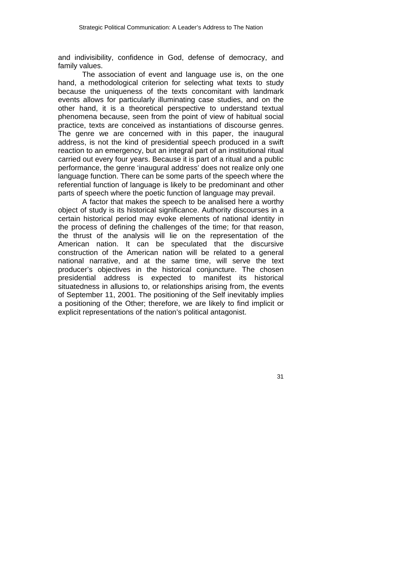and indivisibility, confidence in God, defense of democracy, and family values.

The association of event and language use is, on the one hand, a methodological criterion for selecting what texts to study because the uniqueness of the texts concomitant with landmark events allows for particularly illuminating case studies, and on the other hand, it is a theoretical perspective to understand textual phenomena because, seen from the point of view of habitual social practice, texts are conceived as instantiations of discourse genres. The genre we are concerned with in this paper, the inaugural address, is not the kind of presidential speech produced in a swift reaction to an emergency, but an integral part of an institutional ritual carried out every four years. Because it is part of a ritual and a public performance, the genre 'inaugural address' does not realize only one language function. There can be some parts of the speech where the referential function of language is likely to be predominant and other parts of speech where the poetic function of language may prevail.

A factor that makes the speech to be analised here a worthy object of study is its historical significance. Authority discourses in a certain historical period may evoke elements of national identity in the process of defining the challenges of the time; for that reason, the thrust of the analysis will lie on the representation of the American nation. It can be speculated that the discursive construction of the American nation will be related to a general national narrative, and at the same time, will serve the text producer's objectives in the historical conjuncture. The chosen presidential address is expected to manifest its historical situatedness in allusions to, or relationships arising from, the events of September 11, 2001. The positioning of the Self inevitably implies a positioning of the Other; therefore, we are likely to find implicit or explicit representations of the nation's political antagonist.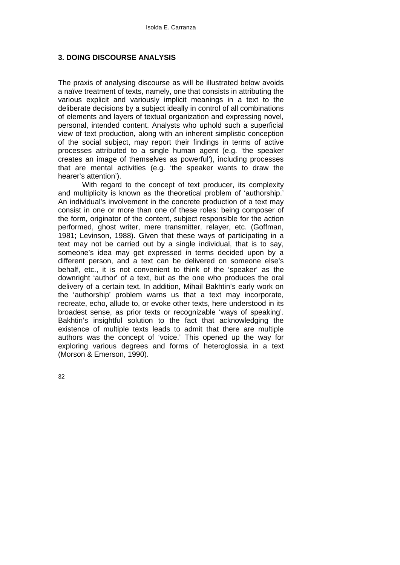# **3. DOING DISCOURSE ANALYSIS**

The praxis of analysing discourse as will be illustrated below avoids a naïve treatment of texts, namely, one that consists in attributing the various explicit and variously implicit meanings in a text to the deliberate decisions by a subject ideally in control of all combinations of elements and layers of textual organization and expressing novel, personal, intended content. Analysts who uphold such a superficial view of text production, along with an inherent simplistic conception of the social subject, may report their findings in terms of active processes attributed to a single human agent (e.g. 'the speaker creates an image of themselves as powerful'), including processes that are mental activities (e.g. 'the speaker wants to draw the hearer's attention').

With regard to the concept of text producer, its complexity and multiplicity is known as the theoretical problem of 'authorship.' An individual's involvement in the concrete production of a text may consist in one or more than one of these roles: being composer of the form, originator of the content, subject responsible for the action performed, ghost writer, mere transmitter, relayer, etc. (Goffman, 1981; Levinson, 1988). Given that these ways of participating in a text may not be carried out by a single individual, that is to say, someone's idea may get expressed in terms decided upon by a different person, and a text can be delivered on someone else's behalf, etc., it is not convenient to think of the 'speaker' as the downright 'author' of a text, but as the one who produces the oral delivery of a certain text. In addition, Mihail Bakhtin's early work on the 'authorship' problem warns us that a text may incorporate, recreate, echo, allude to, or evoke other texts, here understood in its broadest sense, as prior texts or recognizable 'ways of speaking'. Bakhtin's insightful solution to the fact that acknowledging the existence of multiple texts leads to admit that there are multiple authors was the concept of 'voice.' This opened up the way for exploring various degrees and forms of heteroglossia in a text (Morson & Emerson, 1990).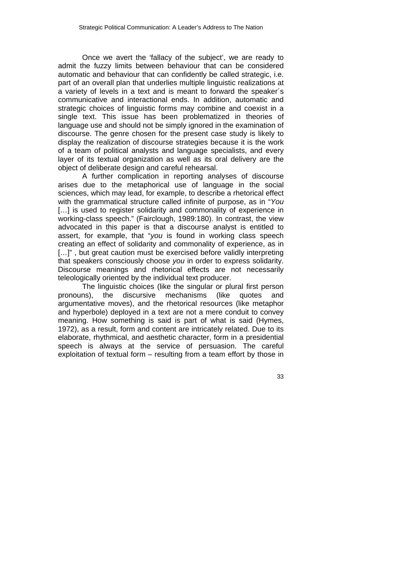Once we avert the 'fallacy of the subject', we are ready to admit the fuzzy limits between behaviour that can be considered automatic and behaviour that can confidently be called strategic, i.e. part of an overall plan that underlies multiple linguistic realizations at a variety of levels in a text and is meant to forward the speaker´s communicative and interactional ends. In addition, automatic and strategic choices of linguistic forms may combine and coexist in a single text. This issue has been problematized in theories of language use and should not be simply ignored in the examination of discourse. The genre chosen for the present case study is likely to display the realization of discourse strategies because it is the work of a team of political analysts and language specialists, and every layer of its textual organization as well as its oral delivery are the object of deliberate design and careful rehearsal.

A further complication in reporting analyses of discourse arises due to the metaphorical use of language in the social sciences, which may lead, for example, to describe a rhetorical effect with the grammatical structure called infinite of purpose, as in "*You* [...] is used to register solidarity and commonality of experience in working-class speech." (Fairclough, 1989:180). In contrast, the view advocated in this paper is that a discourse analyst is entitled to assert, for example, that "*you* is found in working class speech creating an effect of solidarity and commonality of experience, as in [...]", but great caution must be exercised before validly interpreting that speakers consciously choose *you* in order to express solidarity. Discourse meanings and rhetorical effects are not necessarily teleologically oriented by the individual text producer.

The linguistic choices (like the singular or plural first person pronouns), the discursive mechanisms (like quotes and argumentative moves), and the rhetorical resources (like metaphor and hyperbole) deployed in a text are not a mere conduit to convey meaning. How something is said is part of what is said (Hymes, 1972), as a result, form and content are intricately related. Due to its elaborate, rhythmical, and aesthetic character, form in a presidential speech is always at the service of persuasion. The careful exploitation of textual form – resulting from a team effort by those in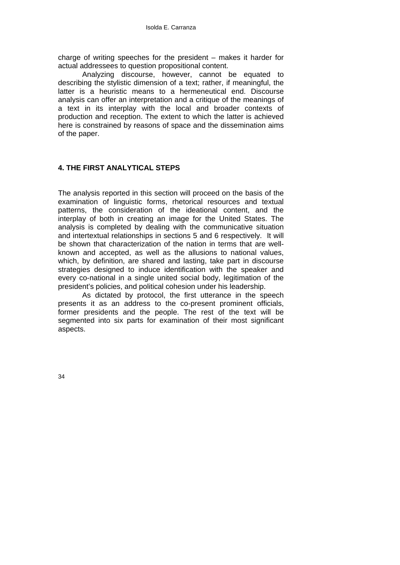charge of writing speeches for the president – makes it harder for actual addressees to question propositional content.

Analyzing discourse, however, cannot be equated to describing the stylistic dimension of a text; rather, if meaningful, the latter is a heuristic means to a hermeneutical end. Discourse analysis can offer an interpretation and a critique of the meanings of a text in its interplay with the local and broader contexts of production and reception. The extent to which the latter is achieved here is constrained by reasons of space and the dissemination aims of the paper.

# **4. THE FIRST ANALYTICAL STEPS**

The analysis reported in this section will proceed on the basis of the examination of linguistic forms, rhetorical resources and textual patterns, the consideration of the ideational content, and the interplay of both in creating an image for the United States. The analysis is completed by dealing with the communicative situation and intertextual relationships in sections 5 and 6 respectively. It will be shown that characterization of the nation in terms that are wellknown and accepted, as well as the allusions to national values, which, by definition, are shared and lasting, take part in discourse strategies designed to induce identification with the speaker and every co-national in a single united social body, legitimation of the president's policies, and political cohesion under his leadership.

As dictated by protocol, the first utterance in the speech presents it as an address to the co-present prominent officials, former presidents and the people. The rest of the text will be segmented into six parts for examination of their most significant aspects.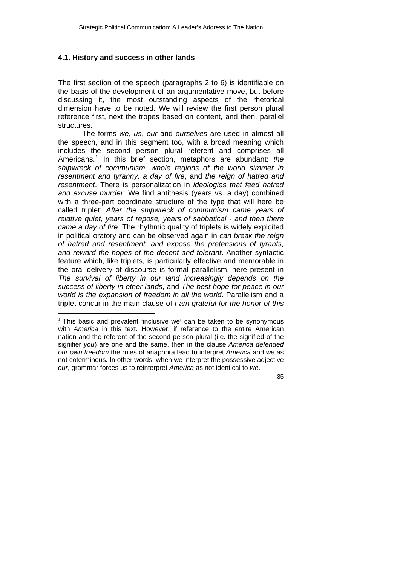#### **4.1. History and success in other lands**

The first section of the speech (paragraphs 2 to 6) is identifiable on the basis of the development of an argumentative move, but before discussing it, the most outstanding aspects of the rhetorical dimension have to be noted. We will review the first person plural reference first, next the tropes based on content, and then, parallel structures.

The forms *we*, *us*, *our* and *ourselves* are used in almost all the speech, and in this segment too, with a broad meaning which includes the second person plural referent and comprises all Americans.[1](#page-10-0) In this brief section, metaphors are abundant: *the shipwreck of communism, whole regions of the world simmer in resentment and tyranny, a day of fire*, and *the reign of hatred and resentment*. There is personalization in *ideologies that feed hatred and excuse murder*. We find antithesis (years vs. a day) combined with a three-part coordinate structure of the type that will here be called triplet: *After the shipwreck of communism came years of relative quiet, years of repose, years of sabbatical - and then there came a day of fire*. The rhythmic quality of triplets is widely exploited in political oratory and can be observed again in *can break the reign of hatred and resentment, and expose the pretensions of tyrants, and reward the hopes of the decent and tolerant*. Another syntactic feature which, like triplets, is particularly effective and memorable in the oral delivery of discourse is formal parallelism, here present in *The survival of liberty in our land increasingly depends on the success of liberty in other lands*, and *The best hope for peace in our world is the expansion of freedom in all the world*. Parallelism and a triplet concur in the main clause of *I am grateful for the honor of this* 

 $\overline{a}$ 

<span id="page-10-0"></span> $1$  This basic and prevalent 'inclusive we' can be taken to be synonymous with *America* in this text. However, if reference to the entire American nation and the referent of the second person plural (i.e. the signified of the signifier *you*) are one and the same, then in the clause *America defended our own freedom* the rules of anaphora lead to interpret *America* and *we* as not coterminous*.* In other words, when we interpret the possessive adjective *our*, grammar forces us to reinterpret *America* as not identical to *we*.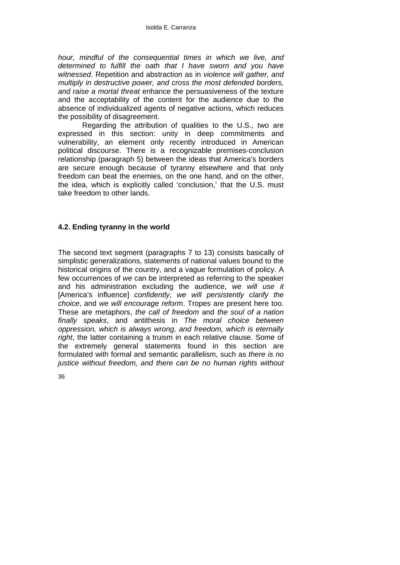*hour, mindful of the consequential times in which we live, and determined to fulfill the oath that I have sworn and you have witnessed*. Repetition and abstraction as in *violence will gather, and multiply in destructive power, and cross the most defended borders, and raise a mortal threat* enhance the persuasiveness of the texture and the acceptability of the content for the audience due to the absence of individualized agents of negative actions, which reduces the possibility of disagreement.

Regarding the attribution of qualities to the U.S., two are expressed in this section: unity in deep commitments and vulnerability, an element only recently introduced in American political discourse. There is a recognizable premises-conclusion relationship (paragraph 5) between the ideas that America's borders are secure enough because of tyranny elsewhere and that only freedom can beat the enemies, on the one hand, and on the other, the idea, which is explicitly called 'conclusion,' that the U.S. must take freedom to other lands.

## **4.2. Ending tyranny in the world**

The second text segment (paragraphs 7 to 13) consists basically of simplistic generalizations, statements of national values bound to the historical origins of the country, and a vague formulation of policy. A few occurrences of *we* can be interpreted as referring to the speaker and his administration excluding the audience, *we will use it* [America's influence] *confidently*, *we will persistently clarify the choice*, and *we will encourage reform*. Tropes are present here too. These are metaphors, *the call of freedom* and *the soul of a nation finally speaks*, and antithesis in *The moral choice between oppression, which is always wrong, and freedom, which is eternally right*, the latter containing a truism in each relative clause*.* Some of the extremely general statements found in this section are formulated with formal and semantic parallelism, such as *there is no justice without freedom, and there can be no human rights without*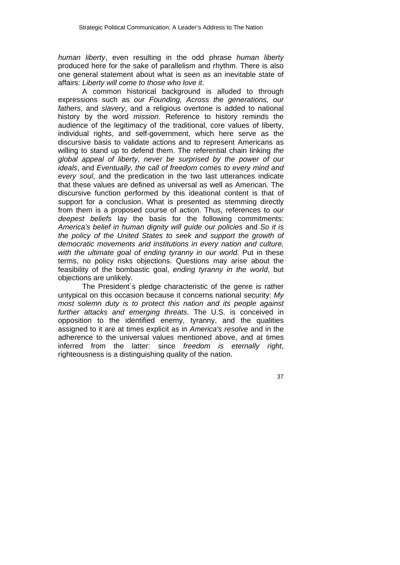*human liberty*, even resulting in the odd phrase *human liberty* produced here for the sake of parallelism and rhythm. There is also one general statement about what is seen as an inevitable state of affairs: *Liberty will come to those who love it*.

A common historical background is alluded to through expressions such as *our Founding, Across the generations, our fathers*, and *slavery*, and a religious overtone is added to national history by the word *mission*. Reference to history reminds the audience of the legitimacy of the traditional, core values of liberty, individual rights, and self-government, which here serve as the discursive basis to validate actions and to represent Americans as willing to stand up to defend them. The referential chain linking *the global appeal of liberty, never be surprised by the power of our ideals*, and *Eventually, the call of freedom comes to every mind and every soul*, and the predication in the two last utterances indicate that these values are defined as universal as well as American. The discursive function performed by this ideational content is that of support for a conclusion. What is presented as stemming directly from them is a proposed course of action. Thus, references to *our deepest beliefs* lay the basis for the following commitments: *America's belief in human dignity will guide our policies* and *So it is the policy of the United States to seek and support the growth of democratic movements and institutions in every nation and culture, with the ultimate goal of ending tyranny in our world*. Put in these terms, no policy risks objections. Questions may arise about the feasibility of the bombastic goal, *ending tyranny in the world*, but objections are unlikely.

The President´s pledge characteristic of the genre is rather untypical on this occasion because it concerns national security: *My most solemn duty is to protect this nation and its people against further attacks and emerging threats*. The U.S. is conceived in opposition to the identified enemy, tyranny, and the qualities assigned to it are at times explicit as in *America's resolve* and in the adherence to the universal values mentioned above, and at times inferred from the latter: since *freedom is eternally right*, righteousness is a distinguishing quality of the nation.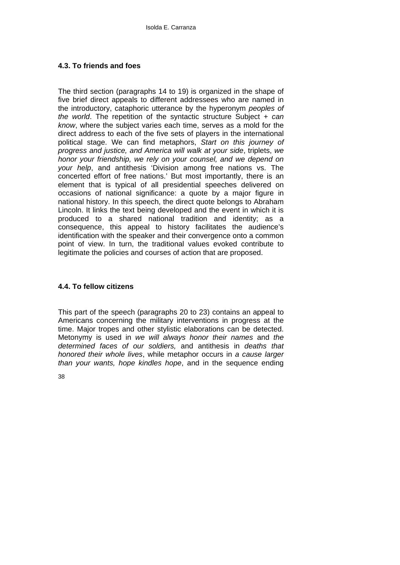# **4.3. To friends and foes**

The third section (paragraphs 14 to 19) is organized in the shape of five brief direct appeals to different addressees who are named in the introductory, cataphoric utterance by the hyperonym *peoples of the world*. The repetition of the syntactic structure Subject + *can know*, where the subject varies each time, serves as a mold for the direct address to each of the five sets of players in the international political stage. We can find metaphors, *Start on this journey of progress and justice, and America will walk at your side*, triplets, *we honor your friendship, we rely on your counsel, and we depend on your help*, and antithesis 'Division among free nations vs. The concerted effort of free nations.' But most importantly, there is an element that is typical of all presidential speeches delivered on occasions of national significance: a quote by a major figure in national history. In this speech, the direct quote belongs to Abraham Lincoln. It links the text being developed and the event in which it is produced to a shared national tradition and identity; as a consequence, this appeal to history facilitates the audience's identification with the speaker and their convergence onto a common point of view. In turn, the traditional values evoked contribute to legitimate the policies and courses of action that are proposed.

# **4.4. To fellow citizens**

This part of the speech (paragraphs 20 to 23) contains an appeal to Americans concerning the military interventions in progress at the time. Major tropes and other stylistic elaborations can be detected. Metonymy is used in *we will always honor their names* and *the determined faces of our soldiers,* and antithesis in *deaths that honored their whole lives*, while metaphor occurs in *a cause larger than your wants, hope kindles hope*, and in the sequence ending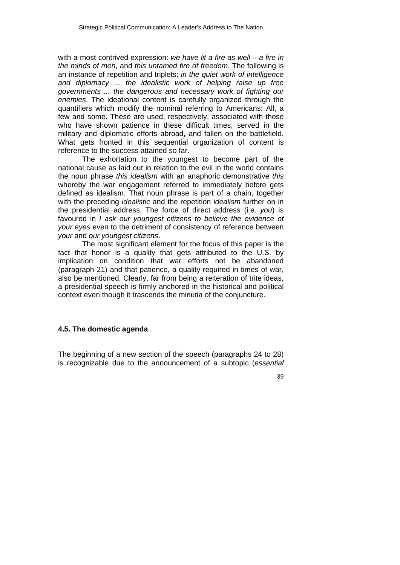with a most contrived expression: *we have lit a fire as well – a fire in the minds of men*, and *this untamed fire of freedom*. The following is an instance of repetition and triplets: *in the quiet work of intelligence and diplomacy ... the idealistic work of helping raise up free governments ... the dangerous and necessary work of fighting our enemies*. The ideational content is carefully organized through the quantifiers which modify the nominal referring to Americans: All, a few and some. These are used, respectively, associated with those who have shown patience in these difficult times, served in the military and diplomatic efforts abroad, and fallen on the battlefield. What gets fronted in this sequential organization of content is reference to the success attained so far.

The exhortation to the youngest to become part of the national cause as laid out in relation to the evil in the world contains the noun phrase *this idealism* with an anaphoric demonstrative *this* whereby the war engagement referred to immediately before gets defined as idealism. That noun phrase is part of a chain, together with the preceding *idealistic* and the repetition *idealism* further on in the presidential address. The force of direct address (i.e. *you*) is favoured in *I ask our youngest citizens to believe the evidence of your eyes* even to the detriment of consistency of reference between *your* and *our youngest citizens*.

The most significant element for the focus of this paper is the fact that honor is a quality that gets attributed to the U.S. by implication on condition that war efforts not be abandoned (paragraph 21) and that patience, a quality required in times of war, also be mentioned. Clearly, far from being a reiteration of trite ideas, a presidential speech is firmly anchored in the historical and political context even though it trascends the minutia of the conjuncture.

## **4.5. The domestic agenda**

The beginning of a new section of the speech (paragraphs 24 to 28) is recognizable due to the announcement of a subtopic (*essential*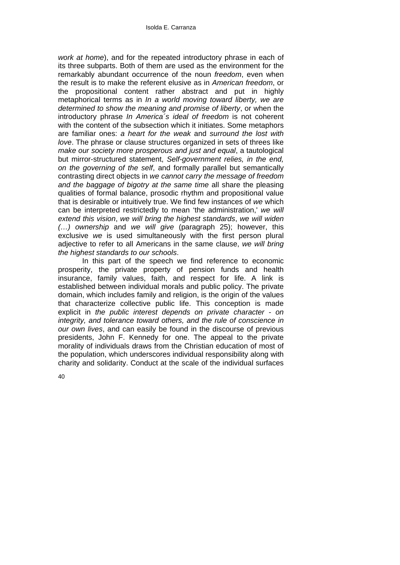*work at home*), and for the repeated introductory phrase in each of its three subparts. Both of them are used as the environment for the remarkably abundant occurrence of the noun *freedom*, even when the result is to make the referent elusive as in *American freedom*, or the propositional content rather abstract and put in highly metaphorical terms as in *In a world moving toward liberty, we are determined to show the meaning and promise of liberty*, or when the introductory phrase *In America´s ideal of freedom* is not coherent with the content of the subsection which it initiates. Some metaphors are familiar ones: *a heart for the weak* and *surround the lost with love*. The phrase or clause structures organized in sets of threes like *make our society more prosperous and just and equal*, a tautological but mirror-structured statement, *Self-government relies, in the end, on the governing of the self*, and formally parallel but semantically contrasting direct objects in *we cannot carry the message of freedom and the baggage of bigotry at the same time* all share the pleasing qualities of formal balance, prosodic rhythm and propositional value that is desirable or intuitively true. We find few instances of *we* which can be interpreted restrictedly to mean 'the administration,' *we will extend this vision*, *we will bring the highest standards*, *we will widen (…) ownership* and *we will give* (paragraph 25); however, this exclusive *we* is used simultaneously with the first person plural adjective to refer to all Americans in the same clause, *we will bring the highest standards to our schools*.

In this part of the speech we find reference to economic prosperity, the private property of pension funds and health insurance, family values, faith, and respect for life. A link is established between individual morals and public policy. The private domain, which includes family and religion, is the origin of the values that characterize collective public life. This conception is made explicit in *the public interest depends on private character - on integrity, and tolerance toward others, and the rule of conscience in our own lives*, and can easily be found in the discourse of previous presidents, John F. Kennedy for one. The appeal to the private morality of individuals draws from the Christian education of most of the population, which underscores individual responsibility along with charity and solidarity. Conduct at the scale of the individual surfaces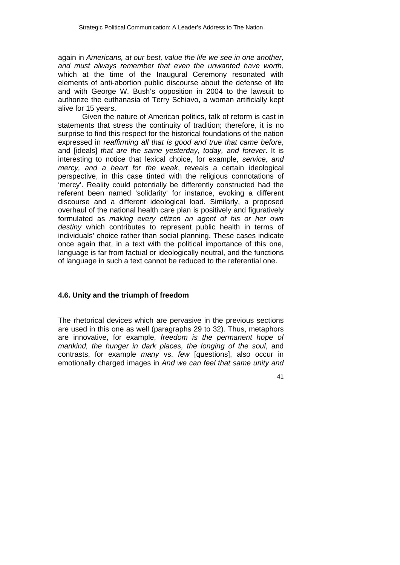again in *Americans, at our best, value the life we see in one another, and must always remember that even the unwanted have worth*, which at the time of the Inaugural Ceremony resonated with elements of anti-abortion public discourse about the defense of life and with George W. Bush's opposition in 2004 to the lawsuit to authorize the euthanasia of Terry Schiavo, a woman artificially kept alive for 15 years.

Given the nature of American politics, talk of reform is cast in statements that stress the continuity of tradition; therefore, it is no surprise to find this respect for the historical foundations of the nation expressed in *reaffirming all that is good and true that came before*, and [ideals] *that are the same yesterday, today, and forever*. It is interesting to notice that lexical choice, for example, *service, and mercy, and a heart for the weak*, reveals a certain ideological perspective, in this case tinted with the religious connotations of 'mercy'. Reality could potentially be differently constructed had the referent been named 'solidarity' for instance, evoking a different discourse and a different ideological load. Similarly, a proposed overhaul of the national health care plan is positively and figuratively formulated as *making every citizen an agent of his or her own destiny* which contributes to represent public health in terms of individuals' choice rather than social planning. These cases indicate once again that, in a text with the political importance of this one, language is far from factual or ideologically neutral, and the functions of language in such a text cannot be reduced to the referential one.

#### **4.6. Unity and the triumph of freedom**

The rhetorical devices which are pervasive in the previous sections are used in this one as well (paragraphs 29 to 32). Thus, metaphors are innovative, for example, *freedom is the permanent hope of mankind, the hunger in dark places, the longing of the soul*, and contrasts, for example *many* vs. *few* [questions], also occur in emotionally charged images in *And we can feel that same unity and*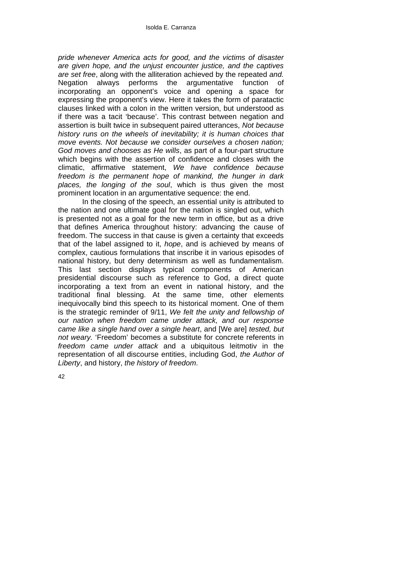*pride whenever America acts for good, and the victims of disaster are given hope, and the unjust encounter justice, and the captives are set free*, along with the alliteration achieved by the repeated *and.* Negation always performs the argumentative function of incorporating an opponent's voice and opening a space for expressing the proponent's view. Here it takes the form of paratactic clauses linked with a colon in the written version, but understood as if there was a tacit 'because'. This contrast between negation and assertion is built twice in subsequent paired utterances, *Not because history runs on the wheels of inevitability; it is human choices that move events. Not because we consider ourselves a chosen nation; God moves and chooses as He wills*, as part of a four-part structure which begins with the assertion of confidence and closes with the climatic, affirmative statement, *We have confidence because freedom is the permanent hope of mankind, the hunger in dark places, the longing of the soul*, which is thus given the most prominent location in an argumentative sequence: the end.

In the closing of the speech, an essential unity is attributed to the nation and one ultimate goal for the nation is singled out, which is presented not as a goal for the new term in office, but as a drive that defines America throughout history: advancing the cause of freedom. The success in that cause is given a certainty that exceeds that of the label assigned to it, *hope*, and is achieved by means of complex, cautious formulations that inscribe it in various episodes of national history, but deny determinism as well as fundamentalism. This last section displays typical components of American presidential discourse such as reference to God, a direct quote incorporating a text from an event in national history, and the traditional final blessing. At the same time, other elements inequivocally bind this speech to its historical moment. One of them is the strategic reminder of 9/11, *We felt the unity and fellowship of our nation when freedom came under attack, and our response came like a single hand over a single heart*, and [We are] *tested, but not weary.* 'Freedom' becomes a substitute for concrete referents in *freedom came under attack* and a ubiquitous leitmotiv in the representation of all discourse entities, including God, *the Author of Liberty*, and history, *the history of freedom*.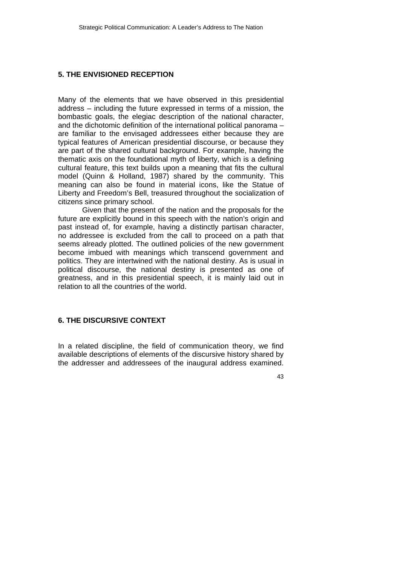#### **5. THE ENVISIONED RECEPTION**

Many of the elements that we have observed in this presidential address – including the future expressed in terms of a mission, the bombastic goals, the elegiac description of the national character, and the dichotomic definition of the international political panorama – are familiar to the envisaged addressees either because they are typical features of American presidential discourse, or because they are part of the shared cultural background. For example, having the thematic axis on the foundational myth of liberty, which is a defining cultural feature, this text builds upon a meaning that fits the cultural model (Quinn & Holland, 1987) shared by the community. This meaning can also be found in material icons, like the Statue of Liberty and Freedom's Bell, treasured throughout the socialization of citizens since primary school.

Given that the present of the nation and the proposals for the future are explicitly bound in this speech with the nation's origin and past instead of, for example, having a distinctly partisan character, no addressee is excluded from the call to proceed on a path that seems already plotted. The outlined policies of the new government become imbued with meanings which transcend government and politics. They are intertwined with the national destiny. As is usual in political discourse, the national destiny is presented as one of greatness, and in this presidential speech, it is mainly laid out in relation to all the countries of the world.

## **6. THE DISCURSIVE CONTEXT**

In a related discipline, the field of communication theory, we find available descriptions of elements of the discursive history shared by the addresser and addressees of the inaugural address examined.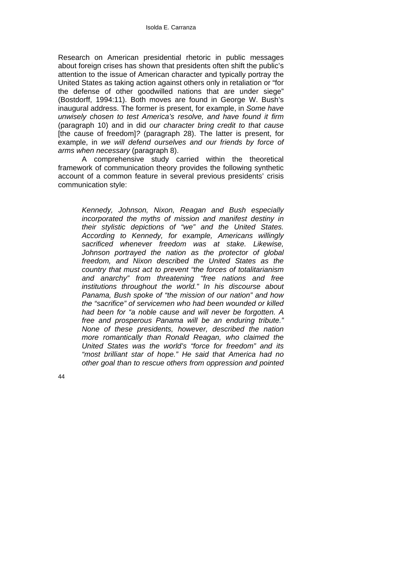Research on American presidential rhetoric in public messages about foreign crises has shown that presidents often shift the public's attention to the issue of American character and typically portray the United States as taking action against others only in retaliation or "for the defense of other goodwilled nations that are under siege" (Bostdorff, 1994:11). Both moves are found in George W. Bush's inaugural address. The former is present, for example, in *Some have unwisely chosen to test America's resolve, and have found it firm*  (paragraph 10) and in did *our character bring credit to that cause* [the cause of freedom]*?* (paragraph 28). The latter is present, for example, in *we will defend ourselves and our friends by force of arms when necessary* (paragraph 8).

A comprehensive study carried within the theoretical framework of communication theory provides the following synthetic account of a common feature in several previous presidents' crisis communication style:

> *Kennedy, Johnson, Nixon, Reagan and Bush especially incorporated the myths of mission and manifest destiny in their stylistic depictions of "we" and the United States. According to Kennedy, for example, Americans willingly sacrificed whenever freedom was at stake. Likewise, Johnson portrayed the nation as the protector of global freedom, and Nixon described the United States as the country that must act to prevent "the forces of totalitarianism and anarchy" from threatening "free nations and free institutions throughout the world." In his discourse about Panama, Bush spoke of "the mission of our nation" and how the "sacrifice" of servicemen who had been wounded or killed had been for "a noble cause and will never be forgotten. A free and prosperous Panama will be an enduring tribute." None of these presidents, however, described the nation more romantically than Ronald Reagan, who claimed the United States was the world's "force for freedom" and its "most brilliant star of hope." He said that America had no other goal than to rescue others from oppression and pointed*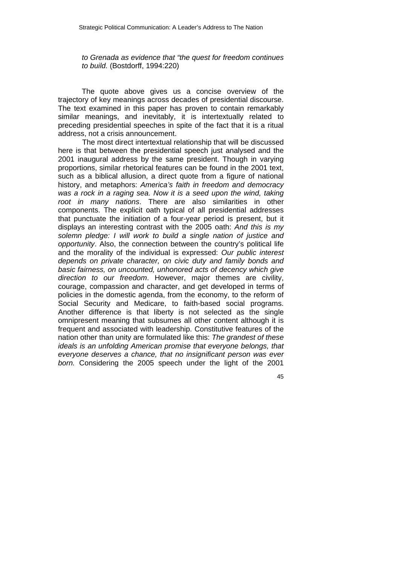*to Grenada as evidence that "the quest for freedom continues to build.* (Bostdorff, 1994:220)

The quote above gives us a concise overview of the trajectory of key meanings across decades of presidential discourse. The text examined in this paper has proven to contain remarkably similar meanings, and inevitably, it is intertextually related to preceding presidential speeches in spite of the fact that it is a ritual address, not a crisis announcement.

The most direct intertextual relationship that will be discussed here is that between the presidential speech just analysed and the 2001 inaugural address by the same president. Though in varying proportions, similar rhetorical features can be found in the 2001 text, such as a biblical allusion, a direct quote from a figure of national history, and metaphors: *America's faith in freedom and democracy*  was a rock in a raging sea. Now it is a seed upon the wind, taking *root in many nations*. There are also similarities in other components. The explicit oath typical of all presidential addresses that punctuate the initiation of a four-year period is present, but it displays an interesting contrast with the 2005 oath: *And this is my solemn pledge: I will work to build a single nation of justice and opportunity*. Also, the connection between the country's political life and the morality of the individual is expressed: *Our public interest depends on private character, on civic duty and family bonds and basic fairness, on uncounted, unhonored acts of decency which give direction to our freedom*. However, major themes are civility, courage, compassion and character, and get developed in terms of policies in the domestic agenda, from the economy, to the reform of Social Security and Medicare, to faith-based social programs. Another difference is that liberty is not selected as the single omnipresent meaning that subsumes all other content although it is frequent and associated with leadership. Constitutive features of the nation other than unity are formulated like this: *The grandest of these ideals is an unfolding American promise that everyone belongs, that everyone deserves a chance, that no insignificant person was ever born.* Considering the 2005 speech under the light of the 2001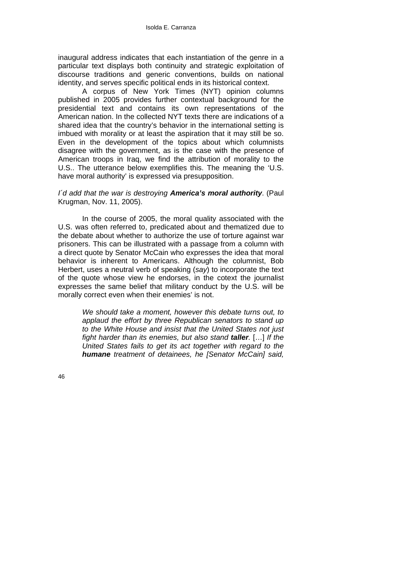inaugural address indicates that each instantiation of the genre in a particular text displays both continuity and strategic exploitation of discourse traditions and generic conventions, builds on national identity, and serves specific political ends in its historical context.

A corpus of New York Times (NYT) opinion columns published in 2005 provides further contextual background for the presidential text and contains its own representations of the American nation. In the collected NYT texts there are indications of a shared idea that the country's behavior in the international setting is imbued with morality or at least the aspiration that it may still be so. Even in the development of the topics about which columnists disagree with the government, as is the case with the presence of American troops in Iraq, we find the attribution of morality to the U.S.. The utterance below exemplifies this. The meaning the 'U.S. have moral authority' is expressed via presupposition.

### *I´d add that the war is destroying America's moral authority*. (Paul Krugman, Nov. 11, 2005).

In the course of 2005, the moral quality associated with the U.S. was often referred to, predicated about and thematized due to the debate about whether to authorize the use of torture against war prisoners. This can be illustrated with a passage from a column with a direct quote by Senator McCain who expresses the idea that moral behavior is inherent to Americans. Although the columnist, Bob Herbert, uses a neutral verb of speaking (*say*) to incorporate the text of the quote whose view he endorses, in the cotext the journalist expresses the same belief that military conduct by the U.S. will be morally correct even when their enemies' is not.

> *We should take a moment, however this debate turns out, to applaud the effort by three Republican senators to stand up to the White House and insist that the United States not just fight harder than its enemies, but also stand taller.* […] *If the United States fails to get its act together with regard to the humane treatment of detainees, he [Senator McCain] said,*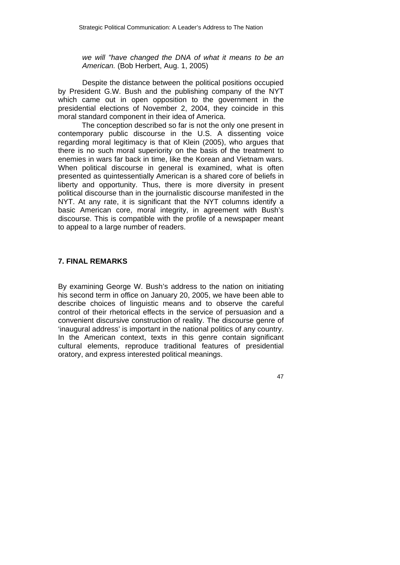*we will "have changed the DNA of what it means to be an American.* (Bob Herbert, Aug. 1, 2005)

Despite the distance between the political positions occupied by President G.W. Bush and the publishing company of the NYT which came out in open opposition to the government in the presidential elections of November 2, 2004, they coincide in this moral standard component in their idea of America.

The conception described so far is not the only one present in contemporary public discourse in the U.S. A dissenting voice regarding moral legitimacy is that of Klein (2005), who argues that there is no such moral superiority on the basis of the treatment to enemies in wars far back in time, like the Korean and Vietnam wars. When political discourse in general is examined, what is often presented as quintessentially American is a shared core of beliefs in liberty and opportunity. Thus, there is more diversity in present political discourse than in the journalistic discourse manifested in the NYT. At any rate, it is significant that the NYT columns identify a basic American core, moral integrity, in agreement with Bush's discourse. This is compatible with the profile of a newspaper meant to appeal to a large number of readers.

## **7. FINAL REMARKS**

By examining George W. Bush's address to the nation on initiating his second term in office on January 20, 2005, we have been able to describe choices of linguistic means and to observe the careful control of their rhetorical effects in the service of persuasion and a convenient discursive construction of reality. The discourse genre of 'inaugural address' is important in the national politics of any country. In the American context, texts in this genre contain significant cultural elements, reproduce traditional features of presidential oratory, and express interested political meanings.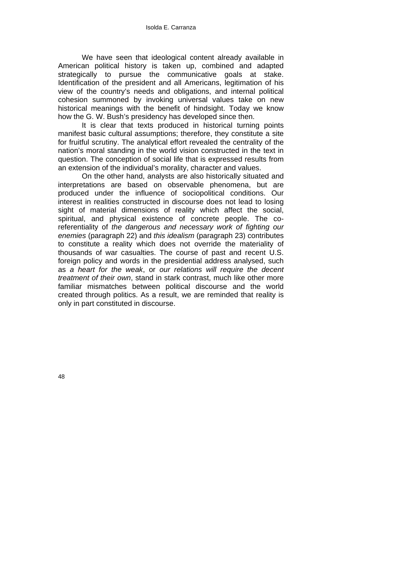We have seen that ideological content already available in American political history is taken up, combined and adapted strategically to pursue the communicative goals at stake. Identification of the president and all Americans, legitimation of his view of the country's needs and obligations, and internal political cohesion summoned by invoking universal values take on new historical meanings with the benefit of hindsight. Today we know how the G. W. Bush's presidency has developed since then.

It is clear that texts produced in historical turning points manifest basic cultural assumptions; therefore, they constitute a site for fruitful scrutiny. The analytical effort revealed the centrality of the nation's moral standing in the world vision constructed in the text in question. The conception of social life that is expressed results from an extension of the individual's morality, character and values.

On the other hand, analysts are also historically situated and interpretations are based on observable phenomena, but are produced under the influence of sociopolitical conditions. Our interest in realities constructed in discourse does not lead to losing sight of material dimensions of reality which affect the social, spiritual, and physical existence of concrete people. The coreferentiality of *the dangerous and necessary work of fighting our enemies* (paragraph 22) and *this idealism* (paragraph 23) contributes to constitute a reality which does not override the materiality of thousands of war casualties. The course of past and recent U.S. foreign policy and words in the presidential address analysed, such as *a heart for the weak*, or *our relations will require the decent treatment of their own*, stand in stark contrast, much like other more familiar mismatches between political discourse and the world created through politics. As a result, we are reminded that reality is only in part constituted in discourse.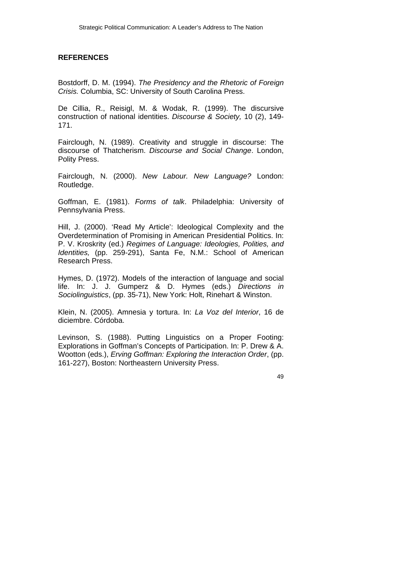## **REFERENCES**

Bostdorff, D. M. (1994). *The Presidency and the Rhetoric of Foreign Crisis.* Columbia, SC: University of South Carolina Press.

De Cillia, R., Reisigl, M. & Wodak, R. (1999). The discursive construction of national identities. *Discourse & Society,* 10 (2), 149- 171.

Fairclough, N. (1989). Creativity and struggle in discourse: The discourse of Thatcherism. *Discourse and Social Change*. London, Polity Press.

Fairclough, N. (2000). *New Labour. New Language?* London: Routledge.

Goffman, E. (1981). *Forms of talk*. Philadelphia: University of Pennsylvania Press.

Hill, J. (2000). 'Read My Article': Ideological Complexity and the Overdetermination of Promising in American Presidential Politics. In: P. V. Kroskrity (ed.) *Regimes of Language: Ideologies, Polities, and Identities,* (pp. 259-291), Santa Fe, N.M.: School of American Research Press.

Hymes, D. (1972). Models of the interaction of language and social life. In: J. J. Gumperz & D. Hymes (eds.) *Directions in Sociolinguistics*, (pp. 35-71), New York: Holt, Rinehart & Winston.

Klein, N. (2005). Amnesia y tortura. In: *La Voz del Interior*, 16 de diciembre. Córdoba.

Levinson, S. (1988). Putting Linguistics on a Proper Footing: Explorations in Goffman's Concepts of Participation. In: P. Drew & A. Wootton (eds.), *Erving Goffman: Exploring the Interaction Order*, (pp. 161-227), Boston: Northeastern University Press.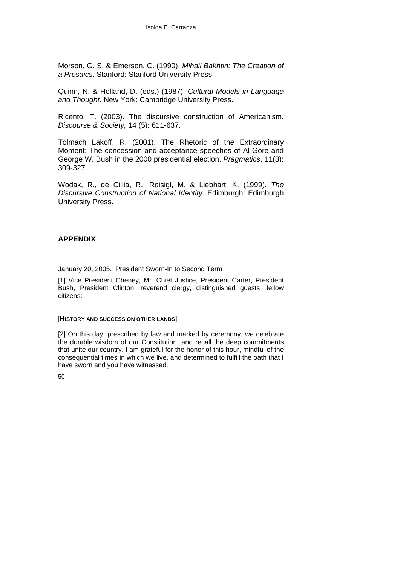Morson, G. S. & Emerson, C. (1990). *Mihail Bakhtin: The Creation of a Prosaics*. Stanford: Stanford University Press.

Quinn, N. & Holland, D. (eds.) (1987). *Cultural Models in Language and Thought*. New York: Cambridge University Press.

Ricento, T. (2003). The discursive construction of Americanism. *Discourse & Society,* 14 (5): 611-637.

Tolmach Lakoff, R. (2001). The Rhetoric of the Extraordinary Moment: The concession and acceptance speeches of Al Gore and George W. Bush in the 2000 presidential election. *Pragmatics*, 11(3): 309-327.

Wodak, R., de Cillia, R., Reisigl, M. & Liebhart, K. (1999). *The Discursive Construction of National Identity*. Edimburgh: Edimburgh University Press.

### **APPENDIX**

January 20, 2005. President Sworn-In to Second Term

[1] Vice President Cheney, Mr. Chief Justice, President Carter, President Bush, President Clinton, reverend clergy, distinguished guests, fellow citizens:

#### [**HISTORY AND SUCCESS ON OTHER LANDS**]

[2] On this day, prescribed by law and marked by ceremony, we celebrate the durable wisdom of our Constitution, and recall the deep commitments that unite our country. I am grateful for the honor of this hour, mindful of the consequential times in which we live, and determined to fulfill the oath that I have sworn and you have witnessed.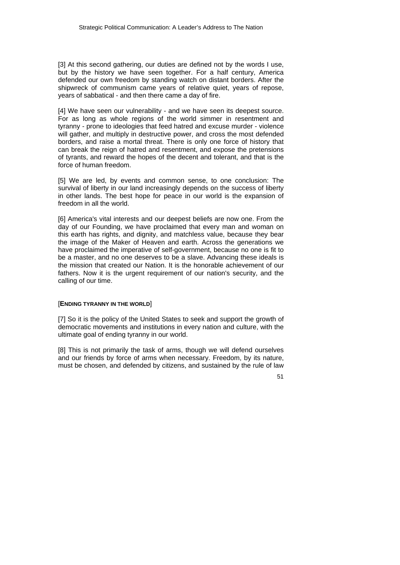[3] At this second gathering, our duties are defined not by the words I use, but by the history we have seen together. For a half century, America defended our own freedom by standing watch on distant borders. After the shipwreck of communism came years of relative quiet, years of repose, years of sabbatical - and then there came a day of fire.

[4] We have seen our vulnerability - and we have seen its deepest source. For as long as whole regions of the world simmer in resentment and tyranny - prone to ideologies that feed hatred and excuse murder - violence will gather, and multiply in destructive power, and cross the most defended borders, and raise a mortal threat. There is only one force of history that can break the reign of hatred and resentment, and expose the pretensions of tyrants, and reward the hopes of the decent and tolerant, and that is the force of human freedom.

[5] We are led, by events and common sense, to one conclusion: The survival of liberty in our land increasingly depends on the success of liberty in other lands. The best hope for peace in our world is the expansion of freedom in all the world.

[6] America's vital interests and our deepest beliefs are now one. From the day of our Founding, we have proclaimed that every man and woman on this earth has rights, and dignity, and matchless value, because they bear the image of the Maker of Heaven and earth. Across the generations we have proclaimed the imperative of self-government, because no one is fit to be a master, and no one deserves to be a slave. Advancing these ideals is the mission that created our Nation. It is the honorable achievement of our fathers. Now it is the urgent requirement of our nation's security, and the calling of our time.

#### [**ENDING TYRANNY IN THE WORLD**]

[7] So it is the policy of the United States to seek and support the growth of democratic movements and institutions in every nation and culture, with the ultimate goal of ending tyranny in our world.

[8] This is not primarily the task of arms, though we will defend ourselves and our friends by force of arms when necessary. Freedom, by its nature, must be chosen, and defended by citizens, and sustained by the rule of law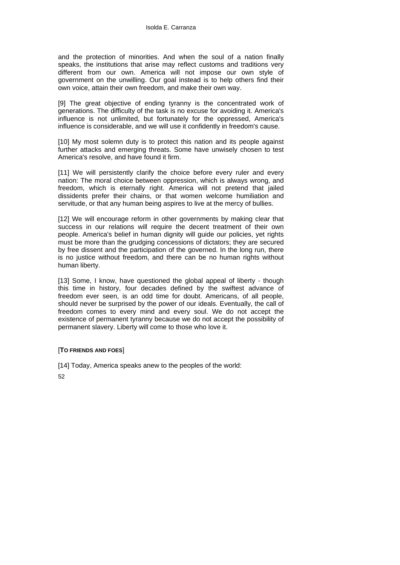and the protection of minorities. And when the soul of a nation finally speaks, the institutions that arise may reflect customs and traditions very different from our own. America will not impose our own style of government on the unwilling. Our goal instead is to help others find their own voice, attain their own freedom, and make their own way.

[9] The great objective of ending tyranny is the concentrated work of generations. The difficulty of the task is no excuse for avoiding it. America's influence is not unlimited, but fortunately for the oppressed, America's influence is considerable, and we will use it confidently in freedom's cause.

[10] My most solemn duty is to protect this nation and its people against further attacks and emerging threats. Some have unwisely chosen to test America's resolve, and have found it firm.

[11] We will persistently clarify the choice before every ruler and every nation: The moral choice between oppression, which is always wrong, and freedom, which is eternally right. America will not pretend that jailed dissidents prefer their chains, or that women welcome humiliation and servitude, or that any human being aspires to live at the mercy of bullies.

[12] We will encourage reform in other governments by making clear that success in our relations will require the decent treatment of their own people. America's belief in human dignity will guide our policies, yet rights must be more than the grudging concessions of dictators; they are secured by free dissent and the participation of the governed. In the long run, there is no justice without freedom, and there can be no human rights without human liberty.

[13] Some, I know, have questioned the global appeal of liberty - though this time in history, four decades defined by the swiftest advance of freedom ever seen, is an odd time for doubt. Americans, of all people, should never be surprised by the power of our ideals. Eventually, the call of freedom comes to every mind and every soul. We do not accept the existence of permanent tyranny because we do not accept the possibility of permanent slavery. Liberty will come to those who love it.

#### [**TO FRIENDS AND FOES**]

[14] Today, America speaks anew to the peoples of the world: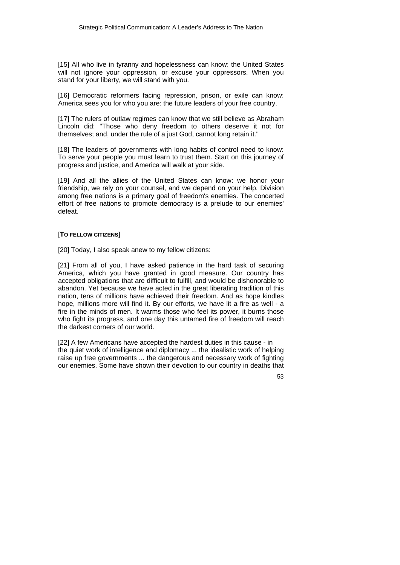[15] All who live in tyranny and hopelessness can know: the United States will not ignore your oppression, or excuse your oppressors. When you stand for your liberty, we will stand with you.

[16] Democratic reformers facing repression, prison, or exile can know: America sees you for who you are: the future leaders of your free country.

[17] The rulers of outlaw regimes can know that we still believe as Abraham Lincoln did: "Those who deny freedom to others deserve it not for themselves; and, under the rule of a just God, cannot long retain it."

[18] The leaders of governments with long habits of control need to know: To serve your people you must learn to trust them. Start on this journey of progress and justice, and America will walk at your side.

[19] And all the allies of the United States can know: we honor your friendship, we rely on your counsel, and we depend on your help. Division among free nations is a primary goal of freedom's enemies. The concerted effort of free nations to promote democracy is a prelude to our enemies' defeat.

#### [**TO FELLOW CITIZENS**]

[20] Today, I also speak anew to my fellow citizens:

[21] From all of you, I have asked patience in the hard task of securing America, which you have granted in good measure. Our country has accepted obligations that are difficult to fulfill, and would be dishonorable to abandon. Yet because we have acted in the great liberating tradition of this nation, tens of millions have achieved their freedom. And as hope kindles hope, millions more will find it. By our efforts, we have lit a fire as well - a fire in the minds of men. It warms those who feel its power, it burns those who fight its progress, and one day this untamed fire of freedom will reach the darkest corners of our world.

[22] A few Americans have accepted the hardest duties in this cause - in the quiet work of intelligence and diplomacy ... the idealistic work of helping raise up free governments ... the dangerous and necessary work of fighting our enemies. Some have shown their devotion to our country in deaths that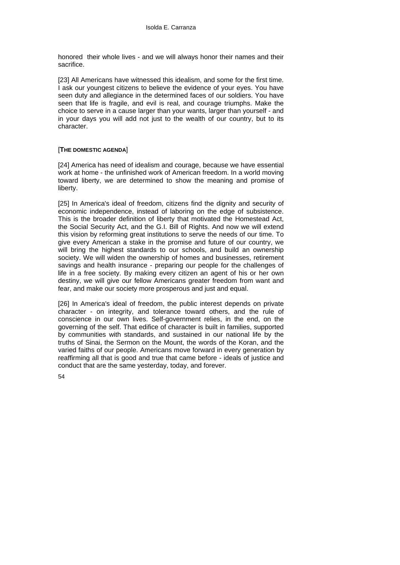honored their whole lives - and we will always honor their names and their sacrifice.

[23] All Americans have witnessed this idealism, and some for the first time. I ask our youngest citizens to believe the evidence of your eyes. You have seen duty and allegiance in the determined faces of our soldiers. You have seen that life is fragile, and evil is real, and courage triumphs. Make the choice to serve in a cause larger than your wants, larger than yourself - and in your days you will add not just to the wealth of our country, but to its character.

#### [**THE DOMESTIC AGENDA**]

[24] America has need of idealism and courage, because we have essential work at home - the unfinished work of American freedom. In a world moving toward liberty, we are determined to show the meaning and promise of liberty.

[25] In America's ideal of freedom, citizens find the dignity and security of economic independence, instead of laboring on the edge of subsistence. This is the broader definition of liberty that motivated the Homestead Act, the Social Security Act, and the G.I. Bill of Rights. And now we will extend this vision by reforming great institutions to serve the needs of our time. To give every American a stake in the promise and future of our country, we will bring the highest standards to our schools, and build an ownership society. We will widen the ownership of homes and businesses, retirement savings and health insurance - preparing our people for the challenges of life in a free society. By making every citizen an agent of his or her own destiny, we will give our fellow Americans greater freedom from want and fear, and make our society more prosperous and just and equal.

[26] In America's ideal of freedom, the public interest depends on private character - on integrity, and tolerance toward others, and the rule of conscience in our own lives. Self-government relies, in the end, on the governing of the self. That edifice of character is built in families, supported by communities with standards, and sustained in our national life by the truths of Sinai, the Sermon on the Mount, the words of the Koran, and the varied faiths of our people. Americans move forward in every generation by reaffirming all that is good and true that came before - ideals of justice and conduct that are the same yesterday, today, and forever.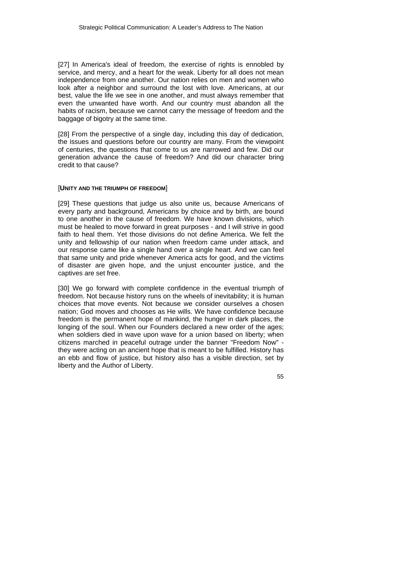[27] In America's ideal of freedom, the exercise of rights is ennobled by service, and mercy, and a heart for the weak. Liberty for all does not mean independence from one another. Our nation relies on men and women who look after a neighbor and surround the lost with love. Americans, at our best, value the life we see in one another, and must always remember that even the unwanted have worth. And our country must abandon all the habits of racism, because we cannot carry the message of freedom and the baggage of bigotry at the same time.

[28] From the perspective of a single day, including this day of dedication, the issues and questions before our country are many. From the viewpoint of centuries, the questions that come to us are narrowed and few. Did our generation advance the cause of freedom? And did our character bring credit to that cause?

#### [**UNITY AND THE TRIUMPH OF FREEDOM**]

[29] These questions that judge us also unite us, because Americans of every party and background, Americans by choice and by birth, are bound to one another in the cause of freedom. We have known divisions, which must be healed to move forward in great purposes - and I will strive in good faith to heal them. Yet those divisions do not define America. We felt the unity and fellowship of our nation when freedom came under attack, and our response came like a single hand over a single heart. And we can feel that same unity and pride whenever America acts for good, and the victims of disaster are given hope, and the unjust encounter justice, and the captives are set free.

[30] We go forward with complete confidence in the eventual triumph of freedom. Not because history runs on the wheels of inevitability; it is human choices that move events. Not because we consider ourselves a chosen nation; God moves and chooses as He wills. We have confidence because freedom is the permanent hope of mankind, the hunger in dark places, the longing of the soul. When our Founders declared a new order of the ages; when soldiers died in wave upon wave for a union based on liberty; when citizens marched in peaceful outrage under the banner "Freedom Now" they were acting on an ancient hope that is meant to be fulfilled. History has an ebb and flow of justice, but history also has a visible direction, set by liberty and the Author of Liberty.